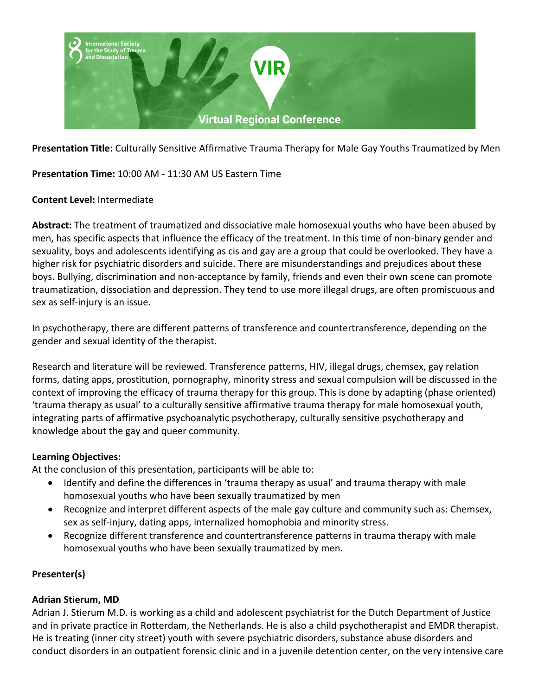

**Presentation Title:** Culturally Sensitive Affirmative Trauma Therapy for Male Gay Youths Traumatized by Men

**Presentation Time:** 10:00 AM - 11:30 AM US Eastern Time

## **Content Level:** Intermediate

**Abstract:** The treatment of traumatized and dissociative male homosexual youths who have been abused by men, has specific aspects that influence the efficacy of the treatment. In this time of non-binary gender and sexuality, boys and adolescents identifying as cis and gay are a group that could be overlooked. They have a higher risk for psychiatric disorders and suicide. There are misunderstandings and prejudices about these boys. Bullying, discrimination and non-acceptance by family, friends and even their own scene can promote traumatization, dissociation and depression. They tend to use more illegal drugs, are often promiscuous and sex as self-injury is an issue.

In psychotherapy, there are different patterns of transference and countertransference, depending on the gender and sexual identity of the therapist.

Research and literature will be reviewed. Transference patterns, HIV, illegal drugs, chemsex, gay relation forms, dating apps, prostitution, pornography, minority stress and sexual compulsion will be discussed in the context of improving the efficacy of trauma therapy for this group. This is done by adapting (phase oriented) 'trauma therapy as usual' to a culturally sensitive affirmative trauma therapy for male homosexual youth, integrating parts of affirmative psychoanalytic psychotherapy, culturally sensitive psychotherapy and knowledge about the gay and queer community.

### **Learning Objectives:**

At the conclusion of this presentation, participants will be able to:

- Identify and define the differences in 'trauma therapy as usual' and trauma therapy with male homosexual youths who have been sexually traumatized by men
- Recognize and interpret different aspects of the male gay culture and community such as: Chemsex, sex as self-injury, dating apps, internalized homophobia and minority stress.
- Recognize different transference and countertransference patterns in trauma therapy with male homosexual youths who have been sexually traumatized by men.

# **Presenter(s)**

### **Adrian Stierum, MD**

Adrian J. Stierum M.D. is working as a child and adolescent psychiatrist for the Dutch Department of Justice and in private practice in Rotterdam, the Netherlands. He is also a child psychotherapist and EMDR therapist. He is treating (inner city street) youth with severe psychiatric disorders, substance abuse disorders and conduct disorders in an outpatient forensic clinic and in a juvenile detention center, on the very intensive care